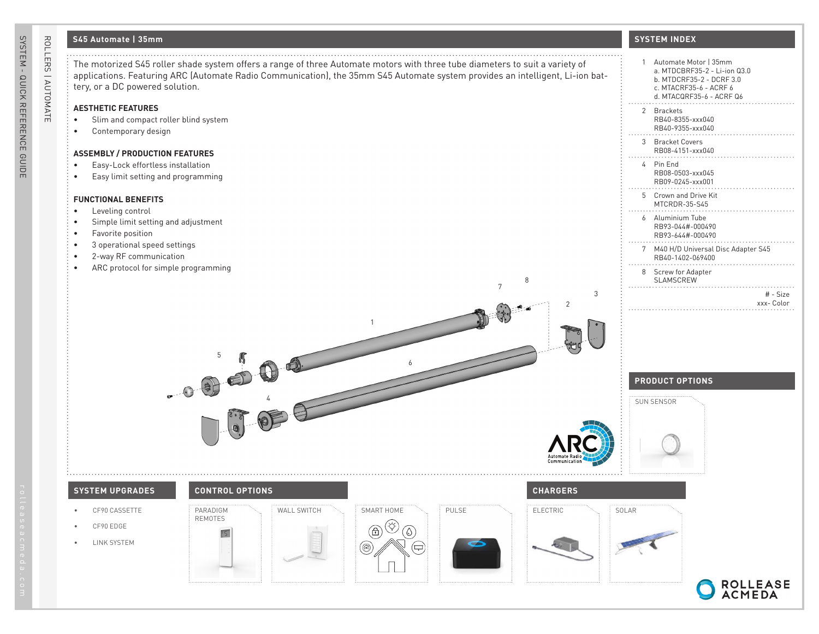# **S45 Automate | 35mm**

ROLLERS | AUTOMATE

ROLLERS | AUTOMATE

The motorized S45 roller shade system offers a range of three Automate motors with three tube diameters to suit a variety of applications. Featuring ARC (Automate Radio Communication), the 35mm S45 Automate system provides an intelligent, Li-ion battery, or a DC powered solution.

### **AESTHETIC FEATURES**

- Slim and compact roller blind system
- Contemporary design

#### **ASSEMBLY / PRODUCTION FEATURES**

- Easy-Lock effortless installation
- Easy limit setting and programming

#### **FUNCTIONAL BENEFITS**

- Leveling control
- Simple limit setting and adjustment
- Favorite position
- 3 operational speed settings
- 2-way RF communication
- ARC protocol for simple programming

## **SYSTEM INDEX**

| 1              | Automate Motor   35mm<br>a. MTDCBRF35-2 - Li-ion 03.0<br>b. MTDCRF35-2 - DCRF 3.0<br>c. MTACRF35-6 - ACRF 6<br>d. MTACQRF35-6 - ACRF Q6 |
|----------------|-----------------------------------------------------------------------------------------------------------------------------------------|
| $\mathfrak{p}$ | <b>Brackets</b><br>RB40-8355-xxx040<br>RB40-9355-xxx040                                                                                 |
| 3              | <b>Bracket Covers</b><br>RB08-4151-xxx040                                                                                               |
| 4              | Pin Fnd<br>RB08-0503-xxx045<br>RB09-0245-xxx001                                                                                         |
| 5              | Crown and Drive Kit<br>MTCRDR-35-S45                                                                                                    |
| 6              | Aluminium Tube<br>RB93-044#-000490<br>RB93-644#-000490                                                                                  |
| 7              | M40 H/D Universal Disc Adapter S45<br>RB40-1402-069400                                                                                  |
| 8              | <b>Screw for Adapter</b><br>SI AMSCREW                                                                                                  |
|                | # - Size<br>xxx-Color                                                                                                                   |

# **PRODUCT OPTIONS**



3

2



- CF90 CASSETTE
- CF90 EDGE
- LINK SYSTEM



4

5

PARADIGM REMOTES



1

6



7

8